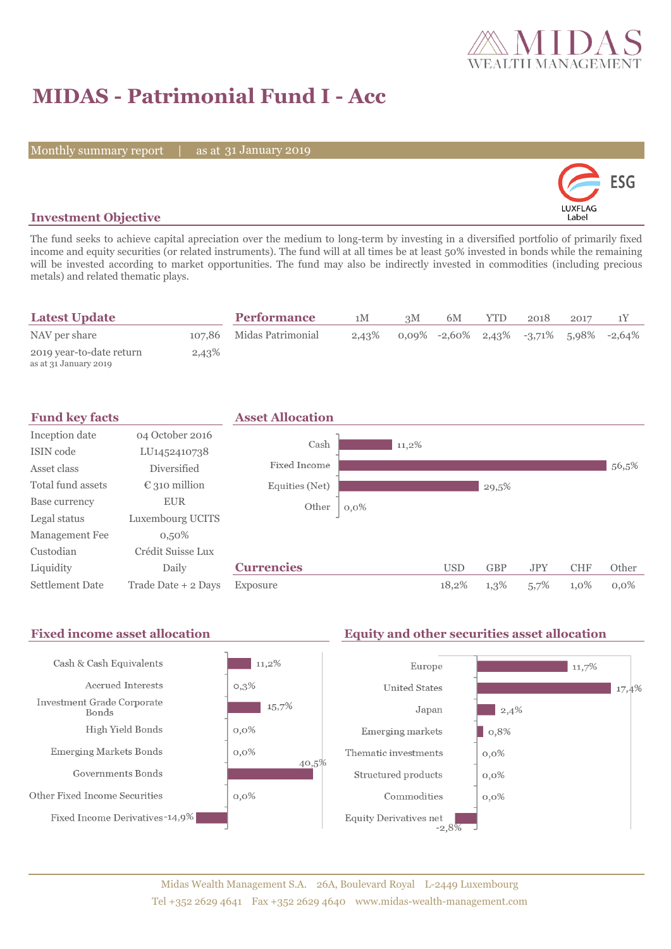

# **MIDAS - Patrimonial Fund I - Acc**

Monthly summary report | as at 31 January 2019



### **Investment Objective**

The fund seeks to achieve capital apreciation over the medium to long-term by investing in a diversified portfolio of primarily fixed income and equity securities (or related instruments). The fund will at all times be at least 50% invested in bonds while the remaining will be invested according to market opportunities. The fund may also be indirectly invested in commodities (including precious metals) and related thematic plays.

| <b>Latest Update</b>                              |       | <b>Performance</b>       | 1M    | 3M | 6M                                        | YTD. | 2018 | 2017 |  |
|---------------------------------------------------|-------|--------------------------|-------|----|-------------------------------------------|------|------|------|--|
| NAV per share                                     |       | 107,86 Midas Patrimonial | 2,43% |    | $0.09\%$ -2,60% 2,43% -3,71% 5,98% -2,64% |      |      |      |  |
| 2019 year-to-date return<br>as at 31 January 2019 | 2,43% |                          |       |    |                                           |      |      |      |  |

| <b>Fund key facts</b>  |                        | <b>Asset Allocation</b> |          |            |            |            |            |         |
|------------------------|------------------------|-------------------------|----------|------------|------------|------------|------------|---------|
| Inception date         | 04 October 2016        |                         |          |            |            |            |            |         |
| ISIN code              | LU1452410738           | Cash                    | $11,2\%$ |            |            |            |            |         |
| Asset class            | <b>Diversified</b>     | Fixed Income            |          |            |            |            |            | 56,5%   |
| Total fund assets      | $\epsilon$ 310 million | Equities (Net)          |          |            | 29,5%      |            |            |         |
| Base currency          | <b>EUR</b>             | Other                   | $0,0\%$  |            |            |            |            |         |
| Legal status           | Luxembourg UCITS       |                         |          |            |            |            |            |         |
| Management Fee         | $0,50\%$               |                         |          |            |            |            |            |         |
| Custodian              | Crédit Suisse Lux      |                         |          |            |            |            |            |         |
| Liquidity              | Daily                  | <b>Currencies</b>       |          | <b>USD</b> | <b>GBP</b> | <b>JPY</b> | <b>CHF</b> | Other   |
| <b>Settlement Date</b> | Trade Date + 2 Days    | Exposure                |          | 18,2%      | 1,3%       | 5,7%       | 1,0%       | $0.0\%$ |

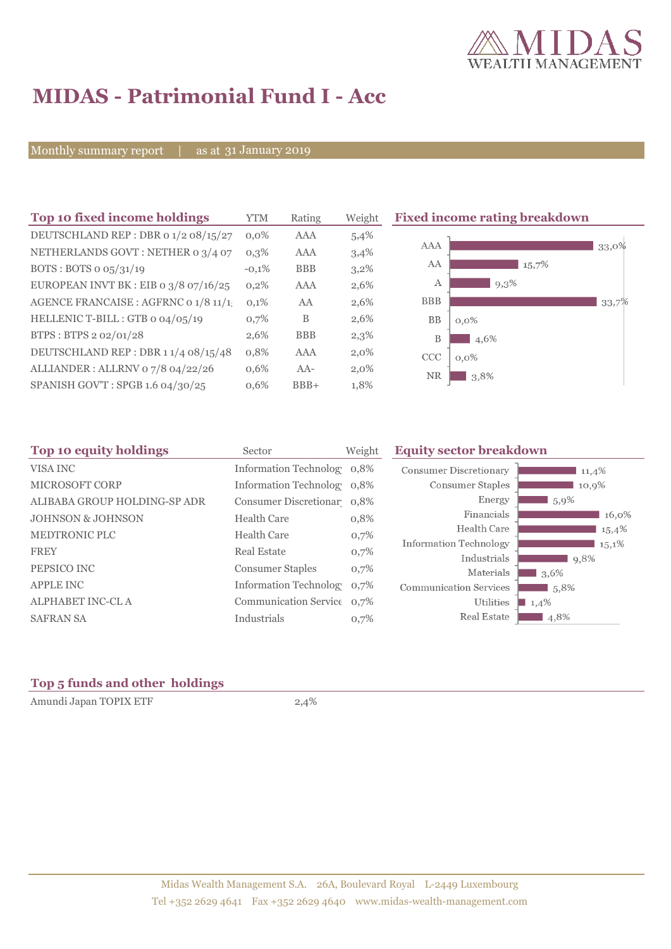

## **MIDAS - Patrimonial Fund I - Acc**

Monthly summary report | as at 31 January 2019

| Top 10 fixed income holdings            | <b>YTM</b> | Rating     | Weight  | <b>Fixed income rating breakdown</b> |
|-----------------------------------------|------------|------------|---------|--------------------------------------|
| DEUTSCHLAND REP : DBR 0 1/2 08/15/27    | $0.0\%$    | AAA        | 5,4%    |                                      |
| NETHERLANDS GOVT : NETHER 0 3/4 07      | 0,3%       | AAA        | 3,4%    | AAA<br>33,0%                         |
| BOTS: BOTS $o$ $o5/31/19$               | $-0,1%$    | <b>BBB</b> | $3,2\%$ | AA<br>15,7%                          |
| EUROPEAN INVT BK : EIB o $3/8$ 07/16/25 | 0,2%       | <b>AAA</b> | 2,6%    | 9,3%<br>А                            |
| AGENCE FRANCAISE : AGFRNC 0 1/8 11/1.   | 0,1%       | AA         | 2,6%    | <b>BBB</b><br>33,7%                  |
| HELLENIC T-BILL : GTB 0 04/05/19        | 0,7%       | B          | 2,6%    | BB<br>$0,0\%$                        |
| BTPS: BTPS 2 02/01/28                   | 2,6%       | <b>BBB</b> | 2,3%    | B<br>4,6%                            |
| DEUTSCHLAND REP: DBR 11/4 08/15/48      | 0,8%       | AAA        | $2,0\%$ | CCC<br>$0,0\%$                       |
| ALLIANDER: ALLRNV 07/8 04/22/26         | 0,6%       | $AA-$      | $2,0\%$ | <b>NR</b><br>3,8%                    |
| SPANISH GOV'T: SPGB 1.6 04/30/25        | 0,6%       | $BBB+$     | 1,8%    |                                      |

| Top 10 equity holdings<br>Sector |                                        | <b>Equity sector breakdown</b>                                                                                                                                                          |                                                      |
|----------------------------------|----------------------------------------|-----------------------------------------------------------------------------------------------------------------------------------------------------------------------------------------|------------------------------------------------------|
|                                  |                                        | <b>Consumer Discretionary</b><br>11,4%                                                                                                                                                  |                                                      |
|                                  |                                        | Consumer Staples<br>10,9%                                                                                                                                                               |                                                      |
|                                  |                                        | Energy<br>$1,5,9\%$                                                                                                                                                                     |                                                      |
| <b>Health Care</b>               | 0,8%                                   | Financials<br>16,0%                                                                                                                                                                     |                                                      |
| <b>Health Care</b>               |                                        | Health Care<br>15,4%                                                                                                                                                                    |                                                      |
|                                  |                                        | $15.1\%$                                                                                                                                                                                |                                                      |
|                                  |                                        |                                                                                                                                                                                         |                                                      |
|                                  |                                        | Materials<br>3,6%                                                                                                                                                                       |                                                      |
|                                  | 0.7%                                   | <b>Communication Services</b><br>5,8%                                                                                                                                                   |                                                      |
|                                  |                                        | Utilities<br>1,4%                                                                                                                                                                       |                                                      |
| Industrials                      | 0,7%                                   | Real Estate<br>4,8%                                                                                                                                                                     |                                                      |
|                                  | Real Estate<br><b>Consumer Staples</b> | Weight<br>Information Technolog 0,8%<br>Information Technolog 0,8%<br>Consumer Discretionar 0,8%<br>0,7%<br>0,7%<br>0,7%<br><b>Information Technology</b><br>Communication Service 0,7% | <b>Information Technology</b><br>Industrials<br>9,8% |

### **Top 5 funds and other holdings**

Amundi Japan TOPIX ETF 2,4%